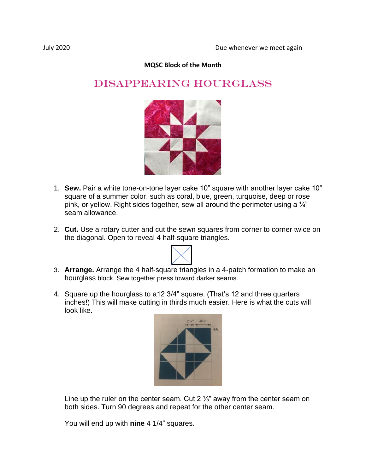## **MQSC Block of the Month**

## DISAPPEARING HOURGLASS



- 1. **Sew.** Pair a white tone-on-tone layer cake 10" square with another layer cake 10" square of a summer color, such as coral, blue, green, turquoise, deep or rose pink, or yellow. Right sides together, sew all around the perimeter using a  $\frac{1}{4}$ " seam allowance.
- 2. **Cut.** Use a rotary cutter and cut the sewn squares from corner to corner twice on the diagonal. Open to reveal 4 half-square triangles.
- 3. **Arrange.** Arrange the 4 half-square triangles in a 4-patch formation to make an hourglass block. Sew together press toward darker seams.
- 4. Square up the hourglass to a12 3/4" square. (That's 12 and three quarters inches!) This will make cutting in thirds much easier. Here is what the cuts will look like.



Line up the ruler on the center seam. Cut 2  $\frac{1}{8}$ " away from the center seam on both sides. Turn 90 degrees and repeat for the other center seam.

You will end up with **nine** 4 1/4" squares.